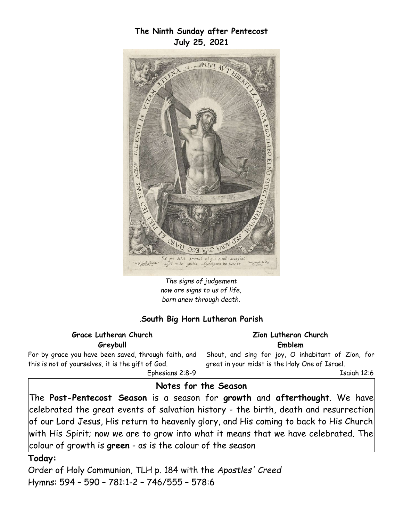**The Ninth Sunday after Pentecost July 25, 2021**



*The signs of judgement now are signs to us of life, born anew through death.*

#### *.***South Big Horn Lutheran Parish**

#### **Grace Lutheran Church Greybull**

For by grace you have been saved, through faith, and this is not of yourselves, it is the gift of God. Ephesians 2:8-9

**Zion Lutheran Church Emblem**

Shout, and sing for joy, O inhabitant of Zion, for great in your midst is the Holy One of Israel.

Isaiah 12:6

## **Notes for the Season**

The **Post-Pentecost Season** is a season for **growth** and **afterthought**. We have celebrated the great events of salvation history - the birth, death and resurrection of our Lord Jesus, His return to heavenly glory, and His coming to back to His Church with His Spirit; now we are to grow into what it means that we have celebrated. The colour of growth is **green** - as is the colour of the season

#### **Today:**

Order of Holy Communion, TLH p. 184 with the *Apostles' Creed*  Hymns: 594 – 590 – 781:1-2 – 746/555 – 578:6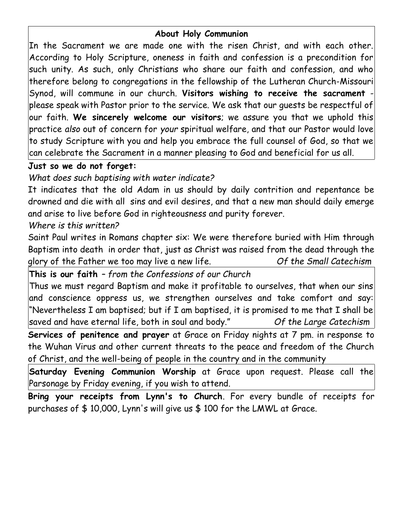# **About Holy Communion**

In the Sacrament we are made one with the risen Christ, and with each other. According to Holy Scripture, oneness in faith and confession is a precondition for such unity. As such, only Christians who share our faith and confession, and who therefore belong to congregations in the fellowship of the Lutheran Church-Missouri Synod, will commune in our church. **Visitors wishing to receive the sacrament** please speak with Pastor prior to the service. We ask that our guests be respectful of our faith. **We sincerely welcome our visitors**; we assure you that we uphold this practice *also* out of concern for *your* spiritual welfare, and that our Pastor would love to study Scripture with you and help you embrace the full counsel of God, so that we can celebrate the Sacrament in a manner pleasing to God and beneficial for us all.

## **Just so we do not forget:**

*What does such baptising with water indicate?*

It indicates that the old Adam in us should by daily contrition and repentance be drowned and die with all sins and evil desires, and that a new man should daily emerge and arise to live before God in righteousness and purity forever.

# *Where is this written?*

Saint Paul writes in Romans chapter six: We were therefore buried with Him through Baptism into death in order that, just as Christ was raised from the dead through the glory of the Father we too may live a new life. *Of the Small Catechism*

**This is our faith** *– from the Confessions of our Church*

Thus we must regard Baptism and make it profitable to ourselves, that when our sins and conscience oppress us, we strengthen ourselves and take comfort and say: "Nevertheless I am baptised; but if I am baptised, it is promised to me that I shall be saved and have eternal life, both in soul and body." *Of the Large Catechism*

**Services of penitence and prayer** at Grace on Friday nights at 7 pm. in response to the Wuhan Virus and other current threats to the peace and freedom of the Church of Christ, and the well-being of people in the country and in the community

**Saturday Evening Communion Worship** at Grace upon request. Please call the Parsonage by Friday evening, if you wish to attend.

**Bring your receipts from Lynn's to Church**. For every bundle of receipts for purchases of \$ 10,000, Lynn's will give us \$ 100 for the LMWL at Grace.